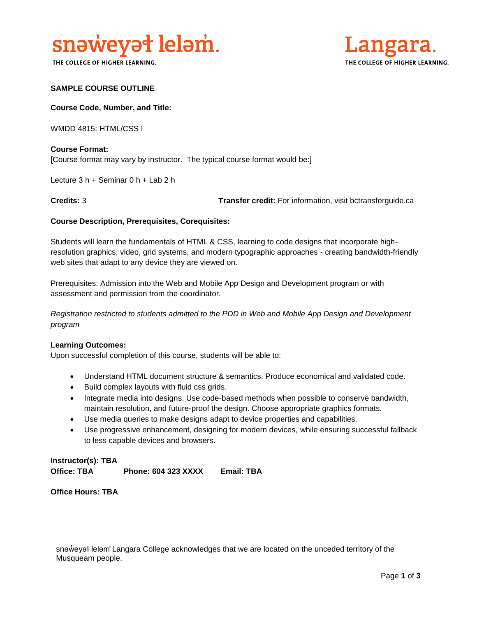

THE COLLEGE OF HIGHER LEARNING.



#### **SAMPLE COURSE OUTLINE**

**Course Code, Number, and Title:**

WMDD 4815: HTML/CSS I

#### **Course Format:** [Course format may vary by instructor. The typical course format would be:]

Lecture 3 h + Seminar 0 h + Lab 2 h

**Credits:** 3 **Transfer credit:** For information, visit bctransferguide.ca

#### **Course Description, Prerequisites, Corequisites:**

Students will learn the fundamentals of HTML & CSS, learning to code designs that incorporate highresolution graphics, video, grid systems, and modern typographic approaches - creating bandwidth-friendly web sites that adapt to any device they are viewed on.

Prerequisites: Admission into the Web and Mobile App Design and Development program or with assessment and permission from the coordinator.

*Registration restricted to students admitted to the PDD in Web and Mobile App Design and Development program* 

#### **Learning Outcomes:**

Upon successful completion of this course, students will be able to:

- Understand HTML document structure & semantics. Produce economical and validated code.
- Build complex layouts with fluid css grids.
- Integrate media into designs. Use code-based methods when possible to conserve bandwidth, maintain resolution, and future-proof the design. Choose appropriate graphics formats.
- Use media queries to make designs adapt to device properties and capabilities.
- Use progressive enhancement, designing for modern devices, while ensuring successful fallback to less capable devices and browsers.

## **Instructor(s): TBA Office: TBA Phone: 604 323 XXXX Email: TBA**

**Office Hours: TBA** 

snəweyał leləm' Langara College acknowledges that we are located on the unceded territory of the Musqueam people.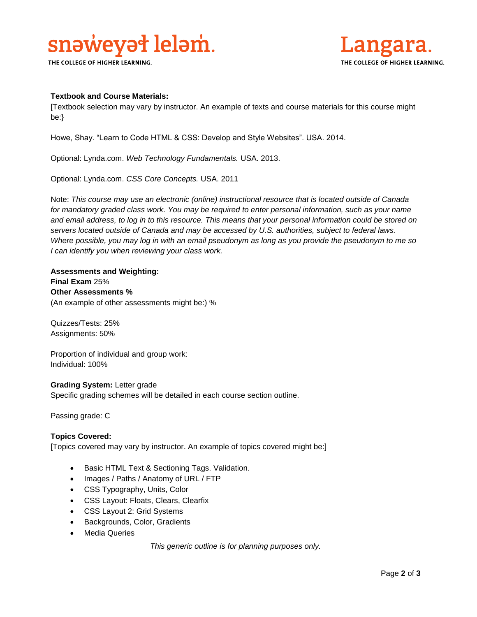

THE COLLEGE OF HIGHER LEARNING.



#### **Textbook and Course Materials:**

[Textbook selection may vary by instructor. An example of texts and course materials for this course might be:}

Howe, Shay. "Learn to Code HTML & CSS: Develop and Style Websites". USA. 2014.

Optional: Lynda.com. *Web Technology Fundamentals.* USA. 2013.

Optional: Lynda.com. *CSS Core Concepts.* USA. 2011

Note: *This course may use an electronic (online) instructional resource that is located outside of Canada*  for mandatory graded class work. You may be required to enter personal information, such as your name *and email address, to log in to this resource. This means that your personal information could be stored on servers located outside of Canada and may be accessed by U.S. authorities, subject to federal laws. Where possible, you may log in with an email pseudonym as long as you provide the pseudonym to me so I can identify you when reviewing your class work.* 

**Assessments and Weighting: Final Exam** 25% **Other Assessments %** (An example of other assessments might be:) %

Quizzes/Tests: 25% Assignments: 50%

Proportion of individual and group work: Individual: 100%

#### **Grading System:** Letter grade

Specific grading schemes will be detailed in each course section outline.

Passing grade: C

#### **Topics Covered:**

[Topics covered may vary by instructor. An example of topics covered might be:]

- **Basic HTML Text & Sectioning Tags. Validation.**
- Images / Paths / Anatomy of URL / FTP
- CSS Typography, Units, Color
- CSS Layout: Floats, Clears, Clearfix
- CSS Layout 2: Grid Systems
- Backgrounds, Color, Gradients
- Media Queries

*This generic outline is for planning purposes only.*